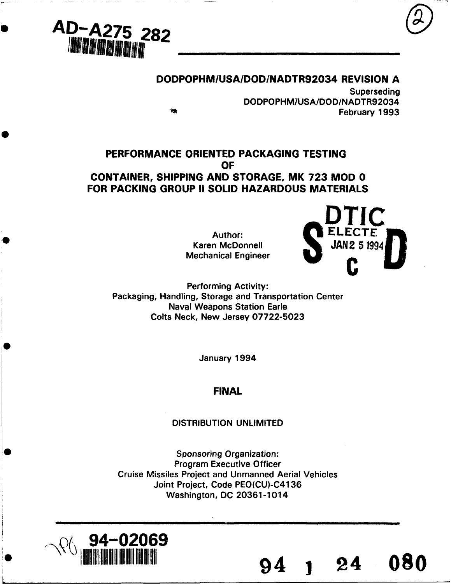

# **DODPOPHM/USA/DOD/NADTR92034** REVISION **A**

Superseding DODPOPHM1USA/DOD/NADTR92034 February 1993

# PERFORMANCE ORIENTED **PACKAGING TESTING** OF **CONTAINER, SHIPPING AND** STORAGE, MK **723** MOD **0 FOR PACKING GROUP II SOLID HAZARDOUS MATERIALS**

**Mechanical Engineer** 



Performing Activity: Packaging, Handling, Storage and Transportation Center Naval Weapons Station Earle Colts Neck, New Jersey 07722-5023

January 1994

# **FINAL**

#### DISTRIBUTION UNLIMITED

Sponsoring Organization: Program Executive Officer Cruise Missiles Project and Unmanned Aerial Vehicles Joint Project, Code PEO(CU)-C4136 Washington, DC 20361-1014

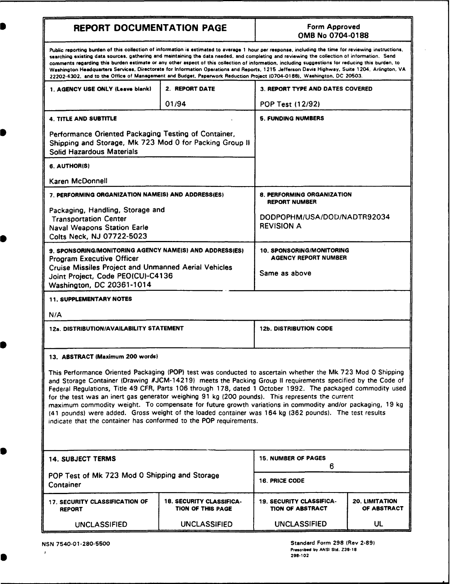# REPORT DOCUMENTATION PAGE Form Approved

# **<sup>I</sup>**OMB No 0704-0188

Public reporting burden of this collection of information is estimated to average 1 hour per response, including the time for reviewing instructions, searching existing data sources, gathering and maintaining the data needed, and completing and reviewing the collection of information. Send comments regarding this burden estimate or any other aspect of this collection of information, including suggestions for reducing this burden, to Washington Headquarters Services. Directorate for Information Operations and Reports. 1215 Jefferson Davis Highway, Suite 1204, Arlington, VA 22202-4302. and to the Office of Management and Budget. Paperwork Reduction Project (0704-0188), Washington, DC 20503.

| 22202-4302, and to the Office of Management and Budget, Paperwork Reduction Project (0704-0188), Washington, DC 20503.                                                                                                                                                                                                                                                                                                                                                                                                                                                                                                                                                                                                                     |                                                      |                                                                 |                               |  |  |
|--------------------------------------------------------------------------------------------------------------------------------------------------------------------------------------------------------------------------------------------------------------------------------------------------------------------------------------------------------------------------------------------------------------------------------------------------------------------------------------------------------------------------------------------------------------------------------------------------------------------------------------------------------------------------------------------------------------------------------------------|------------------------------------------------------|-----------------------------------------------------------------|-------------------------------|--|--|
| 1. AGENCY USE ONLY (Leave blank)                                                                                                                                                                                                                                                                                                                                                                                                                                                                                                                                                                                                                                                                                                           | 2. REPORT DATE                                       | <b>3. REPORT TYPE AND DATES COVERED</b>                         |                               |  |  |
|                                                                                                                                                                                                                                                                                                                                                                                                                                                                                                                                                                                                                                                                                                                                            | 01/94                                                | POP Test (12/92)                                                |                               |  |  |
| <b>4. TITLE AND SUBTITLE</b>                                                                                                                                                                                                                                                                                                                                                                                                                                                                                                                                                                                                                                                                                                               |                                                      | <b>5. FUNDING NUMBERS</b>                                       |                               |  |  |
| Performance Oriented Packaging Testing of Container,<br>Shipping and Storage, Mk 723 Mod 0 for Packing Group II<br><b>Solid Hazardous Materials</b>                                                                                                                                                                                                                                                                                                                                                                                                                                                                                                                                                                                        |                                                      |                                                                 |                               |  |  |
| 6. AUTHOR(S)                                                                                                                                                                                                                                                                                                                                                                                                                                                                                                                                                                                                                                                                                                                               |                                                      |                                                                 |                               |  |  |
| Karen McDonnell                                                                                                                                                                                                                                                                                                                                                                                                                                                                                                                                                                                                                                                                                                                            |                                                      |                                                                 |                               |  |  |
| 7. PERFORMING ORGANIZATION NAME(S) AND ADDRESS(ES)                                                                                                                                                                                                                                                                                                                                                                                                                                                                                                                                                                                                                                                                                         |                                                      | 8. PERFORMING ORGANIZATION<br><b>REPORT NUMBER</b>              |                               |  |  |
| Packaging, Handling, Storage and<br><b>Transportation Center</b><br><b>Naval Weapons Station Earle</b><br>Colts Neck, NJ 07722-5023                                                                                                                                                                                                                                                                                                                                                                                                                                                                                                                                                                                                        |                                                      | DODPOPHM/USA/DOD/NADTR92034<br><b>REVISION A</b>                |                               |  |  |
| 9. SPONSORING/MONITORING AGENCY NAME(S) AND ADDRESS(ES)                                                                                                                                                                                                                                                                                                                                                                                                                                                                                                                                                                                                                                                                                    |                                                      | <b>10. SPONSORING/MONITORING</b><br><b>AGENCY REPORT NUMBER</b> |                               |  |  |
| <b>Program Executive Officer</b><br><b>Cruise Missiles Project and Unmanned Aerial Vehicles</b><br>Joint Project, Code PEO(CU)-C4136<br>Washington, DC 20361-1014                                                                                                                                                                                                                                                                                                                                                                                                                                                                                                                                                                          |                                                      | Same as above                                                   |                               |  |  |
| <b>11. SUPPLEMENTARY NOTES</b>                                                                                                                                                                                                                                                                                                                                                                                                                                                                                                                                                                                                                                                                                                             |                                                      |                                                                 |                               |  |  |
| N/A                                                                                                                                                                                                                                                                                                                                                                                                                                                                                                                                                                                                                                                                                                                                        |                                                      |                                                                 |                               |  |  |
| 12a. DISTRIBUTION/AVAILABILITY STATEMENT                                                                                                                                                                                                                                                                                                                                                                                                                                                                                                                                                                                                                                                                                                   |                                                      | <b>12b. DISTRIBUTION CODE</b>                                   |                               |  |  |
| 13. ABSTRACT (Maximum 200 words)                                                                                                                                                                                                                                                                                                                                                                                                                                                                                                                                                                                                                                                                                                           |                                                      |                                                                 |                               |  |  |
| This Performance Oriented Packaging (POP) test was conducted to ascertain whether the Mk 723 Mod 0 Shipping<br>and Storage Container (Drawing #JCM-14219) meets the Packing Group II requirements specified by the Code of<br>Federal Regulations, Title 49 CFR, Parts 106 through 178, dated 1 October 1992. The packaged commodity used<br>for the test was an inert gas generator weighing 91 kg (200 pounds). This represents the current<br>maximum commodity weight. To compensate for future growth variations in commodity and/or packaging, 19 kg<br>(41 pounds) were added. Gross weight of the loaded container was 164 kg (362 pounds). The test results<br>indicate that the container has conformed to the POP requirements. |                                                      |                                                                 |                               |  |  |
| <b>14. SUBJECT TERMS</b>                                                                                                                                                                                                                                                                                                                                                                                                                                                                                                                                                                                                                                                                                                                   |                                                      | <b>15. NUMBER OF PAGES</b><br>6                                 |                               |  |  |
| POP Test of Mk 723 Mod 0 Shipping and Storage<br>Container                                                                                                                                                                                                                                                                                                                                                                                                                                                                                                                                                                                                                                                                                 |                                                      | 16. PRICE CODE                                                  |                               |  |  |
| 17. SECURITY CLASSIFICATION OF<br><b>REPORT</b>                                                                                                                                                                                                                                                                                                                                                                                                                                                                                                                                                                                                                                                                                            | <b>18. SECURITY CLASSIFICA-</b><br>TION OF THIS PAGE | <b>19. SECURITY CLASSIFICA-</b><br><b>TION OF ABSTRACT</b>      | 20. LIMITATION<br>OF ABSTRACT |  |  |

UNCLASSIFIED UNCLASSIFIED UNCLASSIFIED UL

n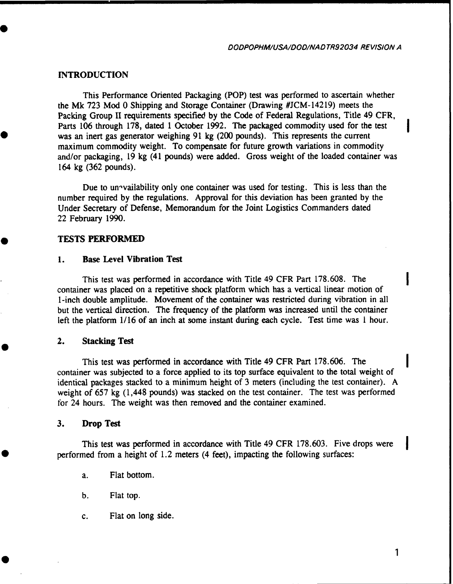*DODPOPHM/USA/DOD/NAD TR92034 REVISION A*

#### **INTRODUCTION**

This Performance Oriented Packaging (POP) test was performed to ascertain whether the Mk 723 Mod 0 Shipping and Storage Container (Drawing #JCM-14219) meets the Packing Group II requirements specified by the Code of Federal Regulations, Title 49 CFR, Parts **106** through **178,** dated 1 October 1992. The packaged commodity used for the test was an inert gas generator weighing 91 kg (200 pounds). This represents the current maximum commodity weight. To compensate for future growth variations in commodity and/or packaging, 19 kg (41 pounds) were added. Gross weight of the loaded container was 164 kg (362 pounds).

Due to un<sup>-</sup>vailability only one container was used for testing. This is less than the number required by the regulations. Approval for this deviation has been granted by the Under Secretary of Defense, Memorandum for the Joint Logistics Commanders dated 22 February 1990.

#### **TESTS** PERFORMED

#### **1.** Base Level Vibration Test

This test was performed in accordance with Title 49 CFR Part 178.608. The container was placed on a repetitive shock platform which has a vertical linear motion of 1-inch double amplitude. Movement of the container was restricted during vibration in all but the vertical direction. The frequency of the platform was increased until the container left the platform  $1/16$  of an inch at some instant during each cycle. Test time was 1 hour.

#### 2. Stacking Test

This test was performed in accordance with Title 49 CFR Part 178.606. The container was subjected to a force applied to its top surface equivalent to the total weight of identical packages stacked to a minimum height of 3 meters (including the test container). A weight of 657 kg (1,448 pounds) was stacked on the test container. The test was performed for 24 hours. The weight was then removed and the container examined.

#### 3. Drop Test

This test was performed in accordance with Title 49 CFR 178.603. Five drops were performed from a height of 1.2 meters (4 feet), impacting the following surfaces:

- a. Flat bottom.
- b. Flat top.
- c. Flat on long side.

 $\mathbf{1}$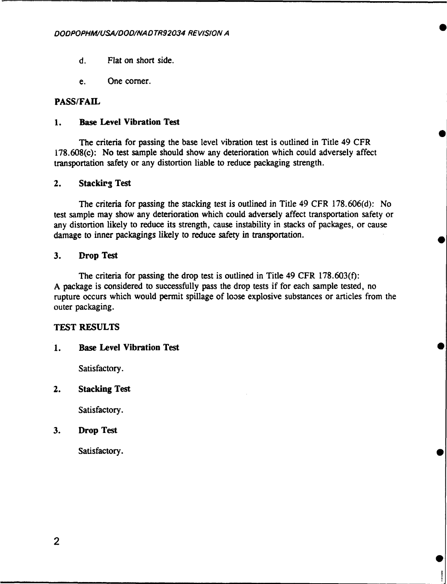- d. Flat on short side.
- e. One comer.

#### **PASS/FAIL**

#### **1.** Base Level Vibration Test

The criteria for passing the base level vibration test is outlined in Title 49 CFR 178.608(c): No test sample should show any deterioration which could adversely affect transportation safety or any distortion liable to reduce packaging strength.

#### 2. Stacking Test

The criteria for passing the stacking test is outlined in Title 49 CFR 178.606(d): No test sample may show any deterioration which could adversely affect transportation safety or any distortion likely to reduce its strength, cause instability in stacks of packages, or cause damage to inner packagings likely to reduce safety in transportation.

#### 3. Drop Test

The criteria for passing the drop test is outlined in Title 49 CFR 178.603(f): A package is considered to successfully pass the drop tests if for each sample tested, no rupture occurs which would permit spillage of loose explosive substances or articles from the outer packaging.

#### **TEST RESULTS**

#### **1.** Base Level Vibration Test

Satisfactory.

#### 2. Stacking Test

Satisfactory.

#### **3.** Drop Test

Satisfactory.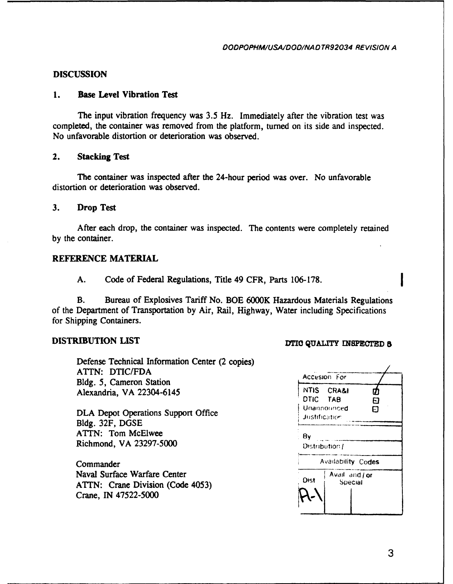#### **DISCUSSION**

#### **1.** Base Level Vibration Test

The input vibration frequency was 3.5 Hz. Immediately after the vibration test was completed, the container was removed from the platform, turned on its side and inspected. No unfavorable distortion or deterioration was observed.

#### 2. Stacking Test

The container was inspected after the 24-hour period was over. No unfavorable distortion or deterioration was observed.

#### 3. Drop Test

After each drop, the container was inspected. The contents were completely retained by the container.

#### REFERENCE MATERIAL

A. Code of Federal Regulations, Title 49 CFR, Parts 106-178.

B. Bureau of Explosives Tariff No. BOE 6000K Hazardous Materials Regulations of the Department of Transportation by Air, Rail, Highway, Water including Specifications for Shipping Containers.

# DISTRIBUTION LIST DTIO QUALITY INSPECTED **5**

Defense Technical Information Center (2 copies) ATTN: DTIC/FDA Bldg. 5, Cameron Station Alexandria, VA 22304-6145

DLA Depot Operations Support Office Bldg. 32F, DGSE ATTN: Tom McElwee Richmond, VA 23297-5000

Commander Naval Surface Warfare Center ATTN: Crane Division (Code 4053) Crane, **IN 47522-5000**

| Accesion For       |                |    |  |  |  |
|--------------------|----------------|----|--|--|--|
|                    | NTIS CRA&I     |    |  |  |  |
| DTIC TAB           |                | Fl |  |  |  |
|                    | Unannounced    | ភ  |  |  |  |
|                    | Justification  |    |  |  |  |
|                    |                |    |  |  |  |
| By                 |                |    |  |  |  |
| Distribution /     |                |    |  |  |  |
| Availability Codes |                |    |  |  |  |
| Dist               | Avail and / or |    |  |  |  |
|                    | Special        |    |  |  |  |
|                    |                |    |  |  |  |
|                    |                |    |  |  |  |
|                    |                |    |  |  |  |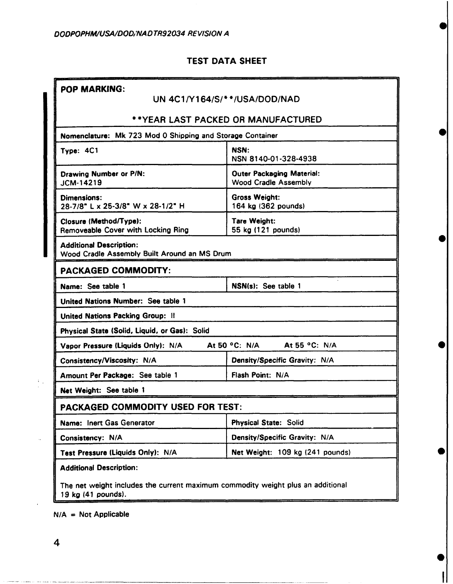## TEST DATA SHEET

| <b>POP MARKING:</b>                                                                                   | UN 4C1/Y164/S/**/USA/DOD/NAD                                    |
|-------------------------------------------------------------------------------------------------------|-----------------------------------------------------------------|
|                                                                                                       | **YEAR LAST PACKED OR MANUFACTURED                              |
|                                                                                                       |                                                                 |
| Nomenclature: Mk 723 Mod 0 Shipping and Storage Container                                             |                                                                 |
| Type: 4C1                                                                                             | NSN:<br>NSN 8140-01-328-4938                                    |
| Drawing Number or P/N:<br>JCM-14219                                                                   | <b>Outer Packaging Material:</b><br><b>Wood Cradle Assembly</b> |
| Dimensions:<br>28-7/8" L x 25-3/8" W x 28-1/2" H                                                      | <b>Gross Weight:</b><br>164 kg (362 pounds)                     |
| Closure (Method/Type):<br>Removeable Cover with Locking Ring                                          | <b>Tare Weight:</b><br>55 kg (121 pounds)                       |
| <b>Additional Description:</b><br>Wood Cradle Assembly Built Around an MS Drum                        |                                                                 |
| <b>PACKAGED COMMODITY:</b>                                                                            |                                                                 |
| Name: See table 1                                                                                     | NSN(s): See table 1                                             |
| United Nations Number: See table 1                                                                    |                                                                 |
| United Nations Packing Group: II                                                                      |                                                                 |
| Physical State (Solid, Liquid, or Gas): Solid                                                         |                                                                 |
| Vapor Pressure (Liquids Only): N/A                                                                    | At 55 °C: N/A<br>At 50 °C: N/A                                  |
| Consistency/Viscosity: N/A                                                                            | Density/Specific Gravity: N/A                                   |
| Amount Per Package: See table 1                                                                       | Flash Point: N/A                                                |
| Net Weight: See table 1                                                                               |                                                                 |
| PACKAGED COMMODITY USED FOR TEST:                                                                     |                                                                 |
| Name: Inert Gas Generator                                                                             | <b>Physical State: Solid</b>                                    |
| Consistency: N/A                                                                                      | Density/Specific Gravity: N/A                                   |
| Test Pressure (Liquids Only): N/A                                                                     | Net Weight: 109 kg (241 pounds)                                 |
| <b>Additional Description:</b>                                                                        |                                                                 |
| The net weight includes the current maximum commodity weight plus an additional<br>19 kg (41 pounds). |                                                                 |

 $\blacktriangleright$ 

 $N/A = Not Applicable$ 

 $\mathcal{H}_{\mathcal{A}}$